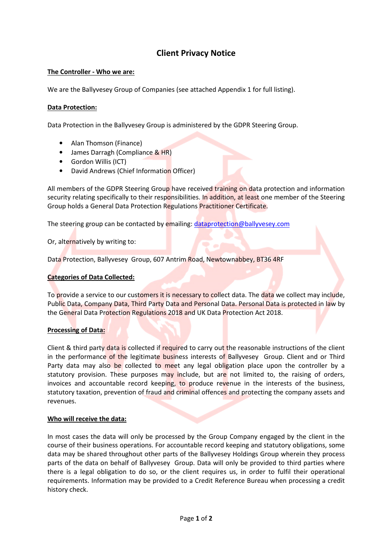# Client Privacy Notice

## The Controller - Who we are:

We are the Ballyvesey Group of Companies (see attached Appendix 1 for full listing).

### Data Protection:

Data Protection in the Ballyvesey Group is administered by the GDPR Steering Group.

- Alan Thomson (Finance)
- James Darragh (Compliance & HR)
- Gordon Willis (ICT)
- David Andrews (Chief Information Officer)

All members of the GDPR Steering Group have received training on data protection and information security relating specifically to their responsibilities. In addition, at least one member of the Steering Group holds a General Data Protection Regulations Practitioner Certificate.

The steering group can be contacted by emailing: dataprotection@ballyvesey.com

Or, alternatively by writing to:

Data Protection, Ballyvesey Group, 607 Antrim Road, Newtownabbey, BT36 4RF

#### Categories of Data Collected:

To provide a service to our customers it is necessary to collect data. The data we collect may include, Public Data, Company Data, Third Party Data and Personal Data. Personal Data is protected in law by the General Data Protection Regulations 2018 and UK Data Protection Act 2018.

#### Processing of Data:

Client & third party data is collected if required to carry out the reasonable instructions of the client in the performance of the legitimate business interests of Ballyvesey Group. Client and or Third Party data may also be collected to meet any legal obligation place upon the controller by a statutory provision. These purposes may include, but are not limited to, the raising of orders, invoices and accountable record keeping, to produce revenue in the interests of the business, statutory taxation, prevention of fraud and criminal offences and protecting the company assets and revenues.

#### Who will receive the data:

In most cases the data will only be processed by the Group Company engaged by the client in the course of their business operations. For accountable record keeping and statutory obligations, some data may be shared throughout other parts of the Ballyvesey Holdings Group wherein they process parts of the data on behalf of Ballyvesey Group. Data will only be provided to third parties where there is a legal obligation to do so, or the client requires us, in order to fulfil their operational requirements. Information may be provided to a Credit Reference Bureau when processing a credit history check.